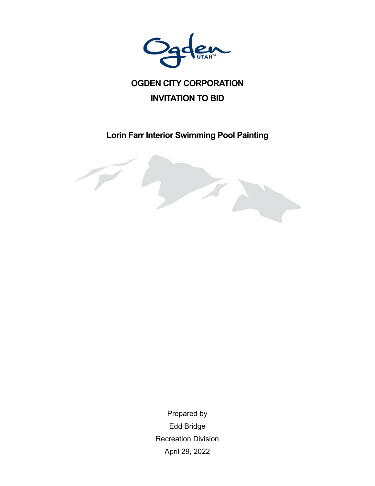

# **OGDEN CITY CORPORATION INVITATION TO BID**

**Lorin Farr Interior Swimming Pool Painting** 



Prepared by Edd Bridge Recreation Division April 29, 2022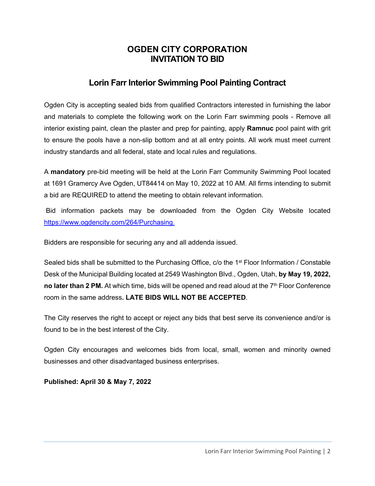## **OGDEN CITY CORPORATION INVITATION TO BID**

## **Lorin Farr Interior Swimming Pool Painting Contract**

Ogden City is accepting sealed bids from qualified Contractors interested in furnishing the labor and materials to complete the following work on the Lorin Farr swimming pools - Remove all interior existing paint, clean the plaster and prep for painting, apply **Ramnuc** pool paint with grit to ensure the pools have a non-slip bottom and at all entry points. All work must meet current industry standards and all federal, state and local rules and regulations.

A **mandatory** pre-bid meeting will be held at the Lorin Farr Community Swimming Pool located at 1691 Gramercy Ave Ogden, UT84414 on May 10, 2022 at 10 AM. All firms intending to submit a bid are REQUIRED to attend the meeting to obtain relevant information.

 Bid information packets may be downloaded from the Ogden City Website located https://www.ogdencity.com/264/Purchasing.

Bidders are responsible for securing any and all addenda issued.

Sealed bids shall be submitted to the Purchasing Office, c/o the 1<sup>st</sup> Floor Information / Constable Desk of the Municipal Building located at 2549 Washington Blvd., Ogden, Utah, **by May 19, 2022, no later than 2 PM.** At which time, bids will be opened and read aloud at the 7<sup>th</sup> Floor Conference room in the same address**. LATE BIDS WILL NOT BE ACCEPTED**.

The City reserves the right to accept or reject any bids that best serve its convenience and/or is found to be in the best interest of the City.

Ogden City encourages and welcomes bids from local, small, women and minority owned businesses and other disadvantaged business enterprises.

**Published: April 30 & May 7, 2022**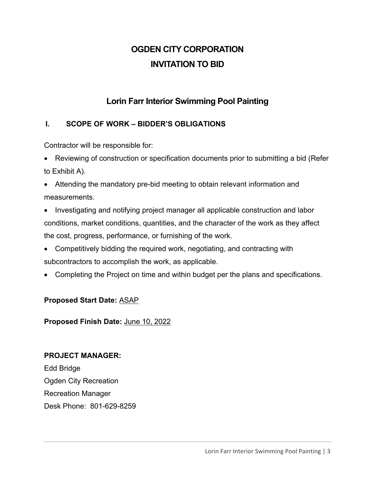# **OGDEN CITY CORPORATION INVITATION TO BID**

## **Lorin Farr Interior Swimming Pool Painting**

### **I. SCOPE OF WORK – BIDDER'S OBLIGATIONS**

Contractor will be responsible for:

- Reviewing of construction or specification documents prior to submitting a bid (Refer to Exhibit A).
- Attending the mandatory pre-bid meeting to obtain relevant information and measurements.
- Investigating and notifying project manager all applicable construction and labor conditions, market conditions, quantities, and the character of the work as they affect the cost, progress, performance, or furnishing of the work.
- Competitively bidding the required work, negotiating, and contracting with subcontractors to accomplish the work, as applicable.
- Completing the Project on time and within budget per the plans and specifications.

#### **Proposed Start Date:** ASAP

**Proposed Finish Date:** June 10, 2022

#### **PROJECT MANAGER:**

Edd Bridge Ogden City Recreation Recreation Manager Desk Phone: 801-629-8259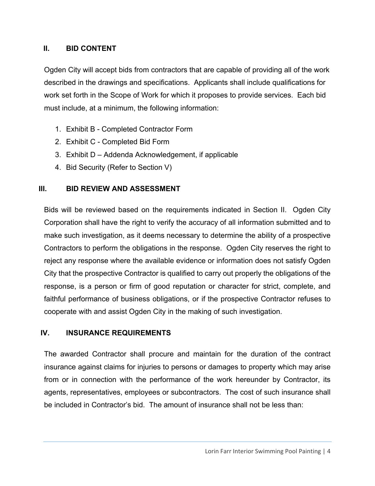#### **II. BID CONTENT**

Ogden City will accept bids from contractors that are capable of providing all of the work described in the drawings and specifications. Applicants shall include qualifications for work set forth in the Scope of Work for which it proposes to provide services. Each bid must include, at a minimum, the following information:

- 1. Exhibit B Completed Contractor Form
- 2. Exhibit C Completed Bid Form
- 3. Exhibit D Addenda Acknowledgement, if applicable
- 4. Bid Security (Refer to Section V)

#### **III. BID REVIEW AND ASSESSMENT**

Bids will be reviewed based on the requirements indicated in Section II. Ogden City Corporation shall have the right to verify the accuracy of all information submitted and to make such investigation, as it deems necessary to determine the ability of a prospective Contractors to perform the obligations in the response. Ogden City reserves the right to reject any response where the available evidence or information does not satisfy Ogden City that the prospective Contractor is qualified to carry out properly the obligations of the response, is a person or firm of good reputation or character for strict, complete, and faithful performance of business obligations, or if the prospective Contractor refuses to cooperate with and assist Ogden City in the making of such investigation.

#### **IV. INSURANCE REQUIREMENTS**

The awarded Contractor shall procure and maintain for the duration of the contract insurance against claims for injuries to persons or damages to property which may arise from or in connection with the performance of the work hereunder by Contractor, its agents, representatives, employees or subcontractors. The cost of such insurance shall be included in Contractor's bid. The amount of insurance shall not be less than: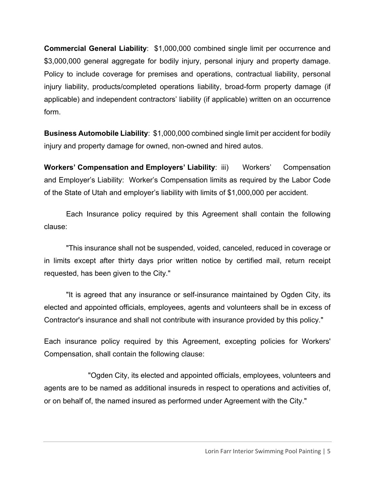**Commercial General Liability**: \$1,000,000 combined single limit per occurrence and \$3,000,000 general aggregate for bodily injury, personal injury and property damage. Policy to include coverage for premises and operations, contractual liability, personal injury liability, products/completed operations liability, broad-form property damage (if applicable) and independent contractors' liability (if applicable) written on an occurrence form.

**Business Automobile Liability**: \$1,000,000 combined single limit per accident for bodily injury and property damage for owned, non-owned and hired autos.

**Workers' Compensation and Employers' Liability: iii)** Workers' Compensation and Employer's Liability: Worker's Compensation limits as required by the Labor Code of the State of Utah and employer's liability with limits of \$1,000,000 per accident.

 Each Insurance policy required by this Agreement shall contain the following clause:

 "This insurance shall not be suspended, voided, canceled, reduced in coverage or in limits except after thirty days prior written notice by certified mail, return receipt requested, has been given to the City."

 "It is agreed that any insurance or self-insurance maintained by Ogden City, its elected and appointed officials, employees, agents and volunteers shall be in excess of Contractor's insurance and shall not contribute with insurance provided by this policy."

Each insurance policy required by this Agreement, excepting policies for Workers' Compensation, shall contain the following clause:

 "Ogden City, its elected and appointed officials, employees, volunteers and agents are to be named as additional insureds in respect to operations and activities of, or on behalf of, the named insured as performed under Agreement with the City."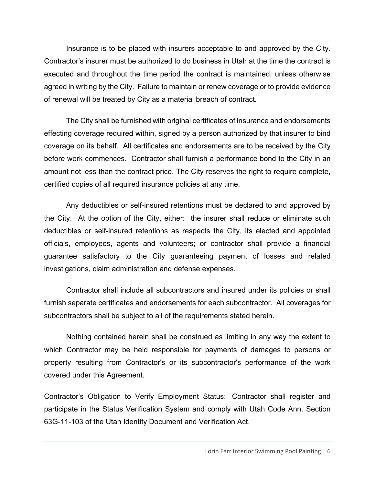Insurance is to be placed with insurers acceptable to and approved by the City. Contractor's insurer must be authorized to do business in Utah at the time the contract is executed and throughout the time period the contract is maintained, unless otherwise agreed in writing by the City. Failure to maintain or renew coverage or to provide evidence of renewal will be treated by City as a material breach of contract.

 The City shall be furnished with original certificates of insurance and endorsements effecting coverage required within, signed by a person authorized by that insurer to bind coverage on its behalf. All certificates and endorsements are to be received by the City before work commences. Contractor shall furnish a performance bond to the City in an amount not less than the contract price. The City reserves the right to require complete, certified copies of all required insurance policies at any time.

 Any deductibles or self-insured retentions must be declared to and approved by the City. At the option of the City, either: the insurer shall reduce or eliminate such deductibles or self-insured retentions as respects the City, its elected and appointed officials, employees, agents and volunteers; or contractor shall provide a financial guarantee satisfactory to the City guaranteeing payment of losses and related investigations, claim administration and defense expenses.

 Contractor shall include all subcontractors and insured under its policies or shall furnish separate certificates and endorsements for each subcontractor. All coverages for subcontractors shall be subject to all of the requirements stated herein.

 Nothing contained herein shall be construed as limiting in any way the extent to which Contractor may be held responsible for payments of damages to persons or property resulting from Contractor's or its subcontractor's performance of the work covered under this Agreement.

Contractor's Obligation to Verify Employment Status: Contractor shall register and participate in the Status Verification System and comply with Utah Code Ann. Section 63G-11-103 of the Utah Identity Document and Verification Act.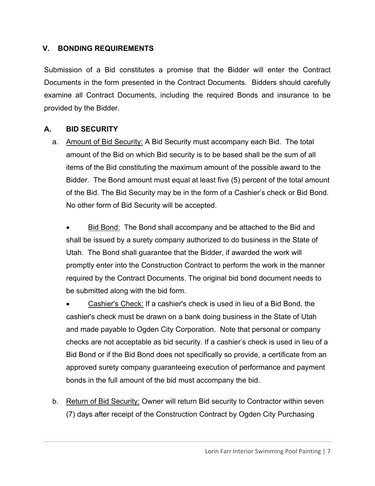#### **V. BONDING REQUIREMENTS**

Submission of a Bid constitutes a promise that the Bidder will enter the Contract Documents in the form presented in the Contract Documents. Bidders should carefully examine all Contract Documents, including the required Bonds and insurance to be provided by the Bidder.

#### **A. BID SECURITY**

a. Amount of Bid Security: A Bid Security must accompany each Bid. The total amount of the Bid on which Bid security is to be based shall be the sum of all items of the Bid constituting the maximum amount of the possible award to the Bidder. The Bond amount must equal at least five (5) percent of the total amount of the Bid. The Bid Security may be in the form of a Cashier's check or Bid Bond. No other form of Bid Security will be accepted.

 Bid Bond: The Bond shall accompany and be attached to the Bid and shall be issued by a surety company authorized to do business in the State of Utah. The Bond shall guarantee that the Bidder, if awarded the work will promptly enter into the Construction Contract to perform the work in the manner required by the Contract Documents. The original bid bond document needs to be submitted along with the bid form.

 Cashier's Check: If a cashier's check is used in lieu of a Bid Bond, the cashier's check must be drawn on a bank doing business in the State of Utah and made payable to Ogden City Corporation. Note that personal or company checks are not acceptable as bid security. If a cashier's check is used in lieu of a Bid Bond or if the Bid Bond does not specifically so provide, a certificate from an approved surety company guaranteeing execution of performance and payment bonds in the full amount of the bid must accompany the bid.

b. Return of Bid Security: Owner will return Bid security to Contractor within seven (7) days after receipt of the Construction Contract by Ogden City Purchasing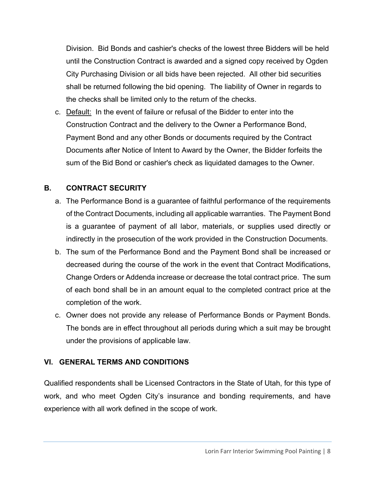Division. Bid Bonds and cashier's checks of the lowest three Bidders will be held until the Construction Contract is awarded and a signed copy received by Ogden City Purchasing Division or all bids have been rejected. All other bid securities shall be returned following the bid opening. The liability of Owner in regards to the checks shall be limited only to the return of the checks.

c. Default: In the event of failure or refusal of the Bidder to enter into the Construction Contract and the delivery to the Owner a Performance Bond, Payment Bond and any other Bonds or documents required by the Contract Documents after Notice of Intent to Award by the Owner, the Bidder forfeits the sum of the Bid Bond or cashier's check as liquidated damages to the Owner.

#### **B. CONTRACT SECURITY**

- a. The Performance Bond is a guarantee of faithful performance of the requirements of the Contract Documents, including all applicable warranties. The Payment Bond is a guarantee of payment of all labor, materials, or supplies used directly or indirectly in the prosecution of the work provided in the Construction Documents.
- b. The sum of the Performance Bond and the Payment Bond shall be increased or decreased during the course of the work in the event that Contract Modifications, Change Orders or Addenda increase or decrease the total contract price. The sum of each bond shall be in an amount equal to the completed contract price at the completion of the work.
- c. Owner does not provide any release of Performance Bonds or Payment Bonds. The bonds are in effect throughout all periods during which a suit may be brought under the provisions of applicable law.

#### **VI. GENERAL TERMS AND CONDITIONS**

Qualified respondents shall be Licensed Contractors in the State of Utah, for this type of work, and who meet Ogden City's insurance and bonding requirements, and have experience with all work defined in the scope of work.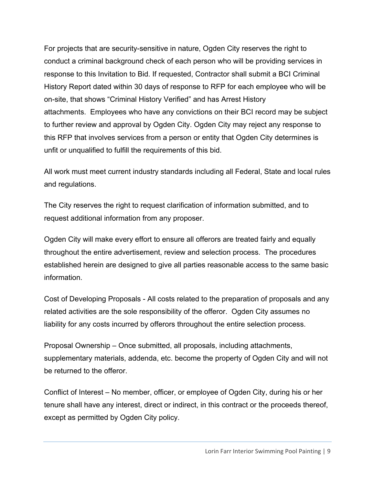For projects that are security-sensitive in nature, Ogden City reserves the right to conduct a criminal background check of each person who will be providing services in response to this Invitation to Bid. If requested, Contractor shall submit a BCI Criminal History Report dated within 30 days of response to RFP for each employee who will be on-site, that shows "Criminal History Verified" and has Arrest History attachments. Employees who have any convictions on their BCI record may be subject to further review and approval by Ogden City. Ogden City may reject any response to this RFP that involves services from a person or entity that Ogden City determines is unfit or unqualified to fulfill the requirements of this bid.

All work must meet current industry standards including all Federal, State and local rules and regulations.

The City reserves the right to request clarification of information submitted, and to request additional information from any proposer.

Ogden City will make every effort to ensure all offerors are treated fairly and equally throughout the entire advertisement, review and selection process. The procedures established herein are designed to give all parties reasonable access to the same basic information.

Cost of Developing Proposals - All costs related to the preparation of proposals and any related activities are the sole responsibility of the offeror. Ogden City assumes no liability for any costs incurred by offerors throughout the entire selection process.

Proposal Ownership – Once submitted, all proposals, including attachments, supplementary materials, addenda, etc. become the property of Ogden City and will not be returned to the offeror.

Conflict of Interest – No member, officer, or employee of Ogden City, during his or her tenure shall have any interest, direct or indirect, in this contract or the proceeds thereof, except as permitted by Ogden City policy.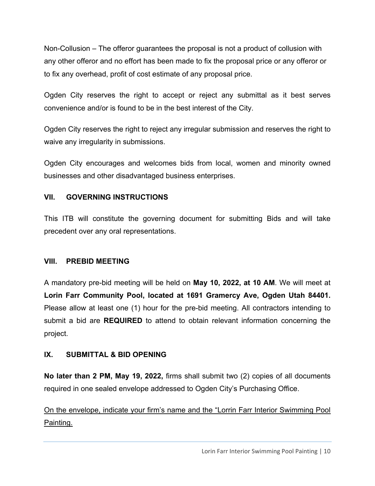Non-Collusion – The offeror guarantees the proposal is not a product of collusion with any other offeror and no effort has been made to fix the proposal price or any offeror or to fix any overhead, profit of cost estimate of any proposal price.

Ogden City reserves the right to accept or reject any submittal as it best serves convenience and/or is found to be in the best interest of the City.

Ogden City reserves the right to reject any irregular submission and reserves the right to waive any irregularity in submissions.

Ogden City encourages and welcomes bids from local, women and minority owned businesses and other disadvantaged business enterprises.

#### **VII. GOVERNING INSTRUCTIONS**

This ITB will constitute the governing document for submitting Bids and will take precedent over any oral representations.

#### **VIII. PREBID MEETING**

A mandatory pre-bid meeting will be held on **May 10, 2022, at 10 AM**. We will meet at **Lorin Farr Community Pool, located at 1691 Gramercy Ave, Ogden Utah 84401.**  Please allow at least one (1) hour for the pre-bid meeting. All contractors intending to submit a bid are **REQUIRED** to attend to obtain relevant information concerning the project.

#### **IX. SUBMITTAL & BID OPENING**

**No later than 2 PM, May 19, 2022,** firms shall submit two (2) copies of all documents required in one sealed envelope addressed to Ogden City's Purchasing Office.

On the envelope, indicate your firm's name and the "Lorrin Farr Interior Swimming Pool Painting.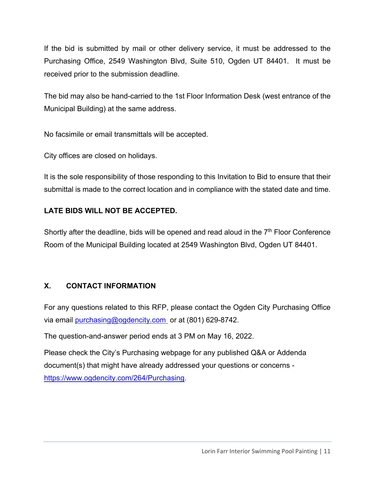If the bid is submitted by mail or other delivery service, it must be addressed to the Purchasing Office, 2549 Washington Blvd, Suite 510, Ogden UT 84401. It must be received prior to the submission deadline.

The bid may also be hand-carried to the 1st Floor Information Desk (west entrance of the Municipal Building) at the same address.

No facsimile or email transmittals will be accepted.

City offices are closed on holidays.

It is the sole responsibility of those responding to this Invitation to Bid to ensure that their submittal is made to the correct location and in compliance with the stated date and time.

### **LATE BIDS WILL NOT BE ACCEPTED.**

Shortly after the deadline, bids will be opened and read aloud in the  $7<sup>th</sup>$  Floor Conference Room of the Municipal Building located at 2549 Washington Blvd, Ogden UT 84401.

#### **X. CONTACT INFORMATION**

For any questions related to this RFP, please contact the Ogden City Purchasing Office via email purchasing@ogdencity.com or at (801) 629-8742.

The question-and-answer period ends at 3 PM on May 16, 2022.

Please check the City's Purchasing webpage for any published Q&A or Addenda document(s) that might have already addressed your questions or concerns https://www.ogdencity.com/264/Purchasing.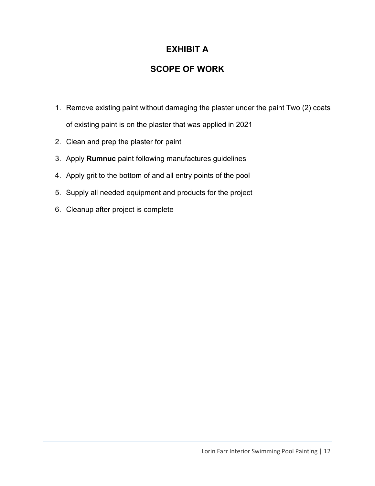## **EXHIBIT A**

## **SCOPE OF WORK**

- 1. Remove existing paint without damaging the plaster under the paint Two (2) coats of existing paint is on the plaster that was applied in 2021
- 2. Clean and prep the plaster for paint
- 3. Apply **Rumnuc** paint following manufactures guidelines
- 4. Apply grit to the bottom of and all entry points of the pool
- 5. Supply all needed equipment and products for the project
- 6. Cleanup after project is complete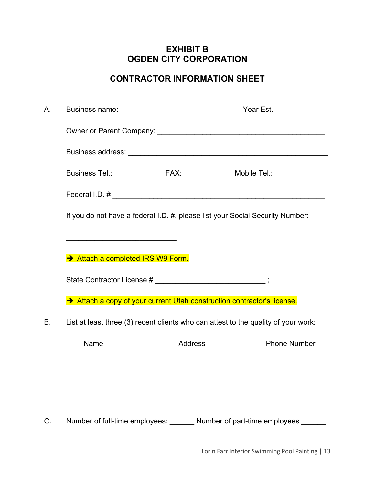## **EXHIBIT B OGDEN CITY CORPORATION**

## **CONTRACTOR INFORMATION SHEET**

| Α. |                                                                                                                              |         | Business name: _________________________________Year Est. _____________ |                     |  |  |
|----|------------------------------------------------------------------------------------------------------------------------------|---------|-------------------------------------------------------------------------|---------------------|--|--|
|    |                                                                                                                              |         |                                                                         |                     |  |  |
|    |                                                                                                                              |         |                                                                         |                     |  |  |
|    | Business Tel.: ______________ FAX: ____________ Mobile Tel.: ______________                                                  |         |                                                                         |                     |  |  |
|    | Federal I.D. # $\overline{\phantom{a}}$                                                                                      |         |                                                                         |                     |  |  |
|    | If you do not have a federal I.D. #, please list your Social Security Number:                                                |         |                                                                         |                     |  |  |
|    | the control of the control of the control of the control of the control of the control of<br>Attach a completed IRS W9 Form. |         |                                                                         |                     |  |  |
|    | State Contractor License # ________________________;                                                                         |         |                                                                         |                     |  |  |
|    | Attach a copy of your current Utah construction contractor's license.                                                        |         |                                                                         |                     |  |  |
| В. | List at least three (3) recent clients who can attest to the quality of your work:                                           |         |                                                                         |                     |  |  |
|    | <b>Name</b>                                                                                                                  | Address |                                                                         | <b>Phone Number</b> |  |  |
|    |                                                                                                                              |         |                                                                         |                     |  |  |
|    |                                                                                                                              |         |                                                                         |                     |  |  |
| C. | Number of full-time employees: _______ Number of part-time employees ______                                                  |         |                                                                         |                     |  |  |

Lorin Farr Interior Swimming Pool Painting | 13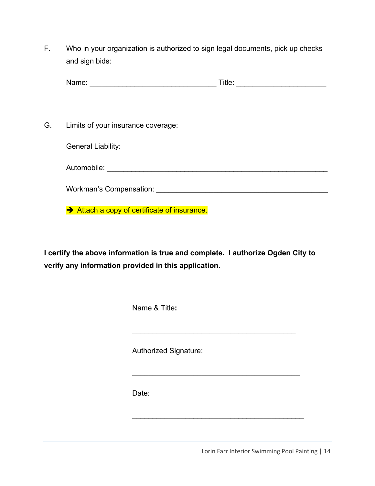F. Who in your organization is authorized to sign legal documents, pick up checks and sign bids:

| Nа<br>----- | <br>. |
|-------------|-------|
|-------------|-------|

G. Limits of your insurance coverage:

Automobile: \_\_\_\_\_\_\_\_\_\_\_\_\_\_\_\_\_\_\_\_\_\_\_\_\_\_\_\_\_\_\_\_\_\_\_\_\_\_\_\_\_\_\_\_\_\_\_\_\_\_\_\_\_\_

Workman's Compensation: \_\_\_\_\_\_\_\_\_\_\_\_\_\_\_\_\_\_\_\_\_\_\_\_\_\_\_\_\_\_\_\_\_\_\_\_\_\_\_\_\_\_

Attach a copy of certificate of insurance.

**I certify the above information is true and complete. I authorize Ogden City to verify any information provided in this application.** 

 $\mathcal{L}_\text{max}$  , and the set of the set of the set of the set of the set of the set of the set of the set of the set of the set of the set of the set of the set of the set of the set of the set of the set of the set of the

 $\mathcal{L}_\text{max}$  , and the contract of the contract of the contract of the contract of the contract of the contract of the contract of the contract of the contract of the contract of the contract of the contract of the contr

 $\overline{\phantom{a}}$  , and the set of the set of the set of the set of the set of the set of the set of the set of the set of the set of the set of the set of the set of the set of the set of the set of the set of the set of the s

Name & Title**:** 

Authorized Signature:

Date:

Lorin Farr Interior Swimming Pool Painting | 14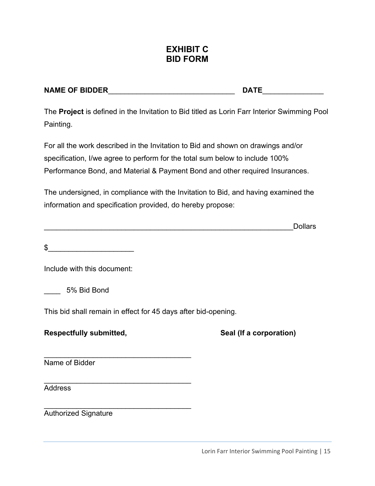## **EXHIBIT C BID FORM**

| <b>NAME OF BIDDER</b> | DATE |
|-----------------------|------|
|                       |      |

The **Project** is defined in the Invitation to Bid titled as Lorin Farr Interior Swimming Pool Painting.

For all the work described in the Invitation to Bid and shown on drawings and/or specification, I/we agree to perform for the total sum below to include 100% Performance Bond, and Material & Payment Bond and other required Insurances.

The undersigned, in compliance with the Invitation to Bid, and having examined the information and specification provided, do hereby propose:

\_\_\_\_\_\_\_\_\_\_\_\_\_\_\_\_\_\_\_\_\_\_\_\_\_\_\_\_\_\_\_\_\_\_\_\_\_\_\_\_\_\_\_\_\_\_\_\_\_\_\_\_\_\_\_\_\_\_\_\_\_Dollars

| \$ |  |  |
|----|--|--|
|    |  |  |
|    |  |  |

Include with this document:

\_\_\_\_ 5% Bid Bond

This bid shall remain in effect for 45 days after bid-opening.

\_\_\_\_\_\_\_\_\_\_\_\_\_\_\_\_\_\_\_\_\_\_\_\_\_\_\_\_\_\_\_\_\_\_\_\_

 $\mathcal{L}_\text{max}$  , and the set of the set of the set of the set of the set of the set of the set of the set of the set of the set of the set of the set of the set of the set of the set of the set of the set of the set of the

#### **Respectfully submitted, The Contract Contract Seal (If a corporation)**

\_\_\_\_\_\_\_\_\_\_\_\_\_\_\_\_\_\_\_\_\_\_\_\_\_\_\_\_\_\_\_\_\_\_\_\_ Name of Bidder

Address

Authorized Signature